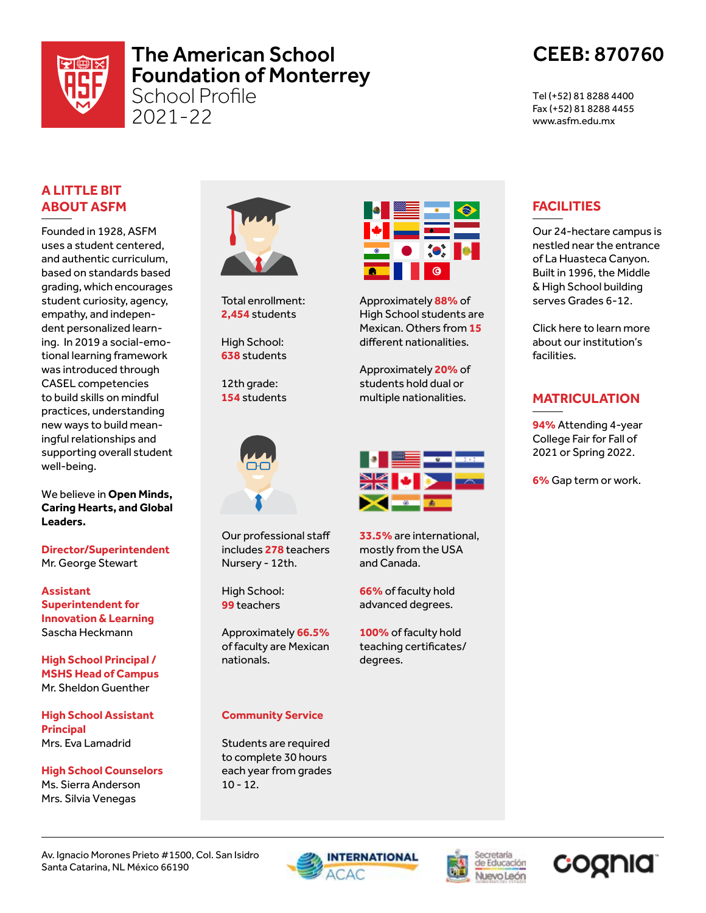

# The American School Foundation of Monterrey

School Profile 2021-22

# CEEB: 870760

Tel (+52) 81 8288 4400 Fax (+52) 81 8288 4455 www.asfm.edu.mx

## **A LITTLE BIT ABOUT ASFM**

Founded in 1928, ASFM uses a student centered, and authentic curriculum, based on standards based grading, which encourages student curiosity, agency, empathy, and independent personalized learning. In 2019 a social-emotional learning framework was introduced through CASEL competencies to build skills on mindful practices, understanding new ways to build meaningful relationships and supporting overall student well-being.

We believe in **Open Minds, Caring Hearts, and Global Leaders.**

**Director/Superintendent** Mr. George Stewart

**Assistant Superintendent for Innovation & Learning** Sascha Heckmann

**High School Principal / MSHS Head of Campus** Mr. Sheldon Guenther

**High School Assistant Principal** Mrs. Eva Lamadrid

**High School Counselors** Ms. Sierra Anderson Mrs. Silvia Venegas



Total enrollment: **2,454** students

High School: **638** students

12th grade: **154** students



Our professional staff includes **278** teachers Nursery - 12th.

High School: **99** teachers

Approximately **66.5%**  of faculty are Mexican nationals.

#### **Community Service**

Students are required to complete 30 hours each year from grades 10 - 12.



Approximately **88%** of High School students are Mexican. Others from **15** different nationalities.

Approximately **20%** of students hold dual or multiple nationalities.



**33.5%** are international, mostly from the USA and Canada.

**66%** of faculty hold advanced degrees.

**100%** of faculty hold teaching certificates/ degrees.

# **FACILITIES**

Our 24-hectare campus is nestled near the entrance of La Huasteca Canyon. Built in 1996, the Middle & High School building serves Grades 6-12.

Click here to learn more about our institution's facilities.

## **MATRICULATION**

**94%** Attending 4-year College Fair for Fall of 2021 or Spring 2022.

**6%** Gap term or work.

Av. Ignacio Morones Prieto #1500, Col. San Isidro Santa Catarina, NL México 66190





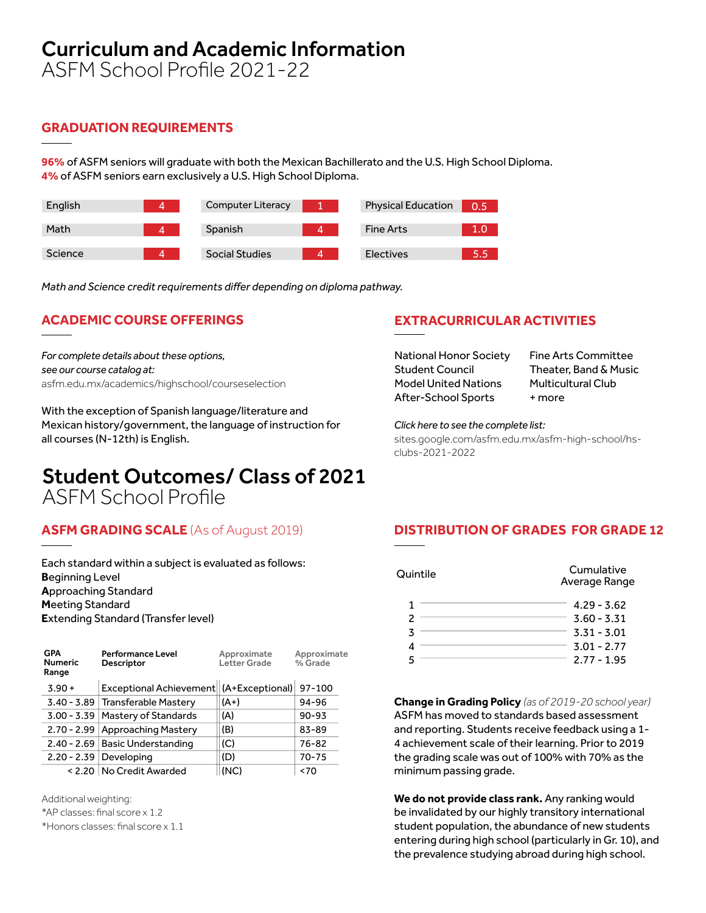# Curriculum and Academic Information

ASFM School Profile 2021-22

## **GRADUATION REQUIREMENTS**

**96%** of ASFM seniors will graduate with both the Mexican Bachillerato and the U.S. High School Diploma. **4%** of ASFM seniors earn exclusively a U.S. High School Diploma.

| English | <b>Computer Literacy</b> | <b>Physical Education</b> | 0.5 |
|---------|--------------------------|---------------------------|-----|
| Math    | Spanish                  | <b>Fine Arts</b>          | 1.0 |
| Science | <b>Social Studies</b>    | Electives                 | 5.5 |

*Math and Science credit requirements differ depending on diploma pathway.*

# **ACADEMIC COURSE OFFERINGS**

*For complete details about these options, see our course catalog at:* asfm.edu.mx/academics/highschool/courseselection

With the exception of Spanish language/literature and Mexican history/government, the language of instruction for all courses (N-12th) is English.

## **EXTRACURRICULAR ACTIVITIES**

National Honor Society Student Council Model United Nations After-School Sports

Fine Arts Committee Theater, Band & Music Multicultural Club + more

*Click here to see the complete list:* sites.google.com/asfm.edu.mx/asfm-high-school/hsclubs-2021-2022

# Student Outcomes/ Class of 2021 ASFM School Profile

## **ASFM GRADING SCALE** (As of August 2019) **DISTRIBUTION OF GRADES FOR GRADE 12**

Each standard within a subject is evaluated as follows: **B**eginning Level **A**pproaching Standard **M**eeting Standard **E**xtending Standard (Transfer level)

| <b>GPA</b><br><b>Numeric</b><br>Range | <b>Performance Level</b><br><b>Descriptor</b> | Approximate<br>Letter Grade | Approximate<br>% Grade |
|---------------------------------------|-----------------------------------------------|-----------------------------|------------------------|
| $3.90 +$                              | Exceptional Achievement   (A+Exceptional)     |                             | 97-100                 |
|                                       | 3.40 - 3.89 Transferable Mastery              | $(A+)$                      | 94-96                  |
|                                       | 3.00 - 3.39   Mastery of Standards            | (A)                         | $90 - 93$              |
|                                       | 2.70 - 2.99 Approaching Mastery               | (B)                         | 83-89                  |
|                                       | 2.40 - 2.69   Basic Understanding             | (C)                         | 76-82                  |
|                                       | $2.20 - 2.39$ Developing                      | (D)                         | $70 - 75$              |
|                                       | < 2.20   No Credit Awarded                    | (NC)                        | ~5                     |

Additional weighting:

\*AP classes: final score x 1.2

\*Honors classes: final score x 1.1

| Quintile | Cumulative<br>Average Range |
|----------|-----------------------------|
|          | $4.29 - 3.62$               |
|          | $3.60 - 3.31$               |
| 3        | $3.31 - 3.01$               |
|          | $3.01 - 2.77$               |
|          | $2.77 - 1.95$               |

**Change in Grading Policy** *(as of 2019-20 school year)* ASFM has moved to standards based assessment and reporting. Students receive feedback using a 1- 4 achievement scale of their learning. Prior to 2019 the grading scale was out of 100% with 70% as the minimum passing grade.

**We do not provide class rank.** Any ranking would be invalidated by our highly transitory international student population, the abundance of new students entering during high school (particularly in Gr. 10), and the prevalence studying abroad during high school.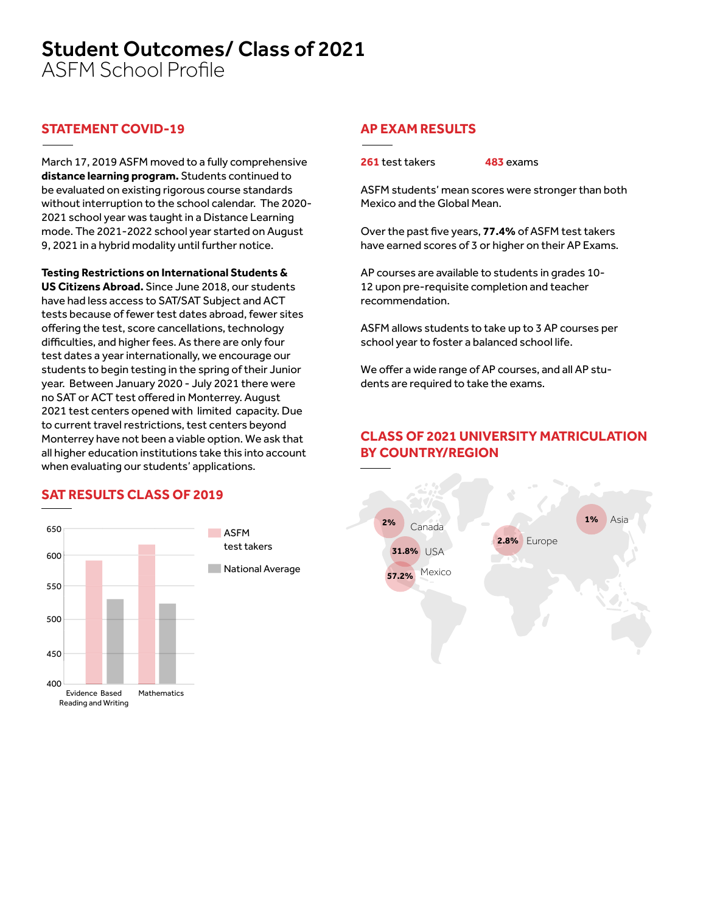# Student Outcomes/ Class of 2021

ASFM School Profile

### **STATEMENT COVID-19 AP EXAM RESULTS**

March 17, 2019 ASFM moved to a fully comprehensive **distance learning program.** Students continued to be evaluated on existing rigorous course standards without interruption to the school calendar. The 2020- 2021 school year was taught in a Distance Learning mode. The 2021-2022 school year started on August 9, 2021 in a hybrid modality until further notice.

**Testing Restrictions on International Students & US Citizens Abroad.** Since June 2018, our students have had less access to SAT/SAT Subject and ACT tests because of fewer test dates abroad, fewer sites offering the test, score cancellations, technology difficulties, and higher fees. As there are only four test dates a year internationally, we encourage our students to begin testing in the spring of their Junior year. Between January 2020 - July 2021 there were no SAT or ACT test offered in Monterrey. August 2021 test centers opened with limited capacity. Due to current travel restrictions, test centers beyond Monterrey have not been a viable option. We ask that all higher education institutions take this into account when evaluating our students' applications.

#### **SAT RESULTS CLASS OF 2019**



**261** test takers **483** exams

ASFM students' mean scores were stronger than both Mexico and the Global Mean.

Over the past five years, **77.4%** of ASFM test takers have earned scores of 3 or higher on their AP Exams.

AP courses are available to students in grades 10- 12 upon pre-requisite completion and teacher recommendation.

ASFM allows students to take up to 3 AP courses per school year to foster a balanced school life.

We offer a wide range of AP courses, and all AP students are required to take the exams.

### **CLASS OF 2021 UNIVERSITY MATRICULATION BY COUNTRY/REGION**